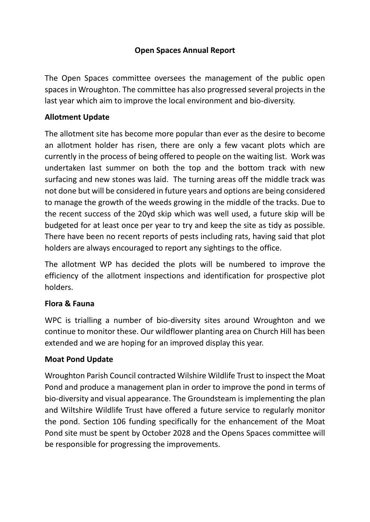## **Open Spaces Annual Report**

The Open Spaces committee oversees the management of the public open spaces in Wroughton. The committee has also progressed several projects in the last year which aim to improve the local environment and bio-diversity.

#### **Allotment Update**

The allotment site has become more popular than ever as the desire to become an allotment holder has risen, there are only a few vacant plots which are currently in the process of being offered to people on the waiting list. Work was undertaken last summer on both the top and the bottom track with new surfacing and new stones was laid. The turning areas off the middle track was not done but will be considered in future years and options are being considered to manage the growth of the weeds growing in the middle of the tracks. Due to the recent success of the 20yd skip which was well used, a future skip will be budgeted for at least once per year to try and keep the site as tidy as possible. There have been no recent reports of pests including rats, having said that plot holders are always encouraged to report any sightings to the office.

The allotment WP has decided the plots will be numbered to improve the efficiency of the allotment inspections and identification for prospective plot holders.

#### **Flora & Fauna**

WPC is trialling a number of bio-diversity sites around Wroughton and we continue to monitor these. Our wildflower planting area on Church Hill has been extended and we are hoping for an improved display this year.

#### **Moat Pond Update**

Wroughton Parish Council contracted Wilshire Wildlife Trust to inspect the Moat Pond and produce a management plan in order to improve the pond in terms of bio-diversity and visual appearance. The Groundsteam is implementing the plan and Wiltshire Wildlife Trust have offered a future service to regularly monitor the pond. Section 106 funding specifically for the enhancement of the Moat Pond site must be spent by October 2028 and the Opens Spaces committee will be responsible for progressing the improvements.